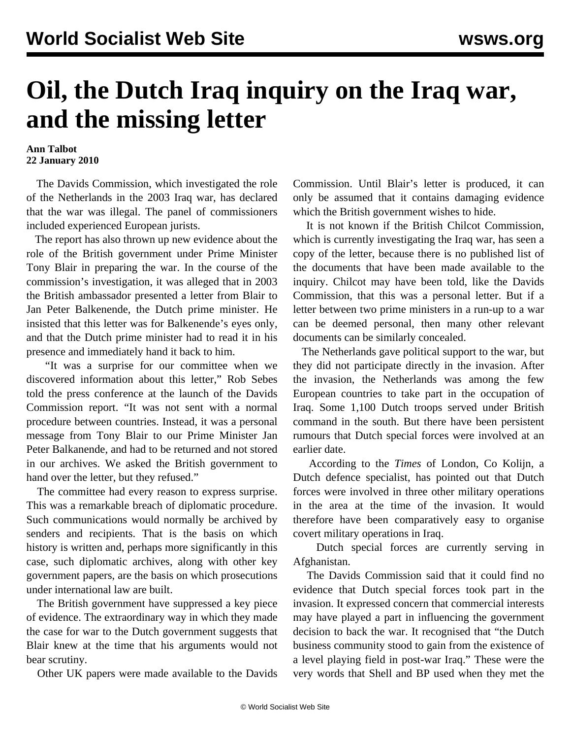## **Oil, the Dutch Iraq inquiry on the Iraq war, and the missing letter**

## **Ann Talbot 22 January 2010**

 The Davids Commission, which investigated the role of the Netherlands in the 2003 Iraq war, has declared that the war was illegal. The panel of commissioners included experienced European jurists.

 The report has also thrown up new evidence about the role of the British government under Prime Minister Tony Blair in preparing the war. In the course of the commission's investigation, it was alleged that in 2003 the British ambassador presented a letter from Blair to Jan Peter Balkenende, the Dutch prime minister. He insisted that this letter was for Balkenende's eyes only, and that the Dutch prime minister had to read it in his presence and immediately hand it back to him.

 "It was a surprise for our committee when we discovered information about this letter," Rob Sebes told the press conference at the launch of the Davids Commission report. "It was not sent with a normal procedure between countries. Instead, it was a personal message from Tony Blair to our Prime Minister Jan Peter Balkanende, and had to be returned and not stored in our archives. We asked the British government to hand over the letter, but they refused."

 The committee had every reason to express surprise. This was a remarkable breach of diplomatic procedure. Such communications would normally be archived by senders and recipients. That is the basis on which history is written and, perhaps more significantly in this case, such diplomatic archives, along with other key government papers, are the basis on which prosecutions under international law are built.

 The British government have suppressed a key piece of evidence. The extraordinary way in which they made the case for war to the Dutch government suggests that Blair knew at the time that his arguments would not bear scrutiny.

Other UK papers were made available to the Davids

Commission. Until Blair's letter is produced, it can only be assumed that it contains damaging evidence which the British government wishes to hide.

 It is not known if the British Chilcot Commission, which is currently investigating the Iraq war, has seen a copy of the letter, because there is no published list of the documents that have been made available to the inquiry. Chilcot may have been told, like the Davids Commission, that this was a personal letter. But if a letter between two prime ministers in a run-up to a war can be deemed personal, then many other relevant documents can be similarly concealed.

 The Netherlands gave political support to the war, but they did not participate directly in the invasion. After the invasion, the Netherlands was among the few European countries to take part in the occupation of Iraq. Some 1,100 Dutch troops served under British command in the south. But there have been persistent rumours that Dutch special forces were involved at an earlier date.

 According to the *Times* of London, Co Kolijn, a Dutch defence specialist, has pointed out that Dutch forces were involved in three other military operations in the area at the time of the invasion. It would therefore have been comparatively easy to organise covert military operations in Iraq.

 Dutch special forces are currently serving in Afghanistan.

 The Davids Commission said that it could find no evidence that Dutch special forces took part in the invasion. It expressed concern that commercial interests may have played a part in influencing the government decision to back the war. It recognised that "the Dutch business community stood to gain from the existence of a level playing field in post-war Iraq." These were the very words that Shell and BP used when they met the